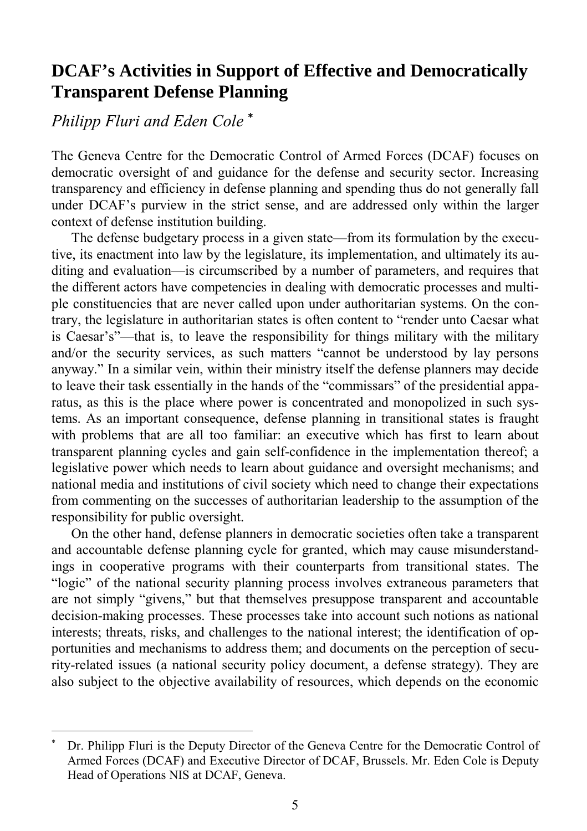# **DCAF's Activities in Support of Effective and Democratically Transparent Defense Planning**

# *Philipp Fluri and Eden Cole* <sup>∗</sup>

l

The Geneva Centre for the Democratic Control of Armed Forces (DCAF) focuses on democratic oversight of and guidance for the defense and security sector. Increasing transparency and efficiency in defense planning and spending thus do not generally fall under DCAF's purview in the strict sense, and are addressed only within the larger context of defense institution building.

The defense budgetary process in a given state—from its formulation by the executive, its enactment into law by the legislature, its implementation, and ultimately its auditing and evaluation—is circumscribed by a number of parameters, and requires that the different actors have competencies in dealing with democratic processes and multiple constituencies that are never called upon under authoritarian systems. On the contrary, the legislature in authoritarian states is often content to "render unto Caesar what is Caesar's"—that is, to leave the responsibility for things military with the military and/or the security services, as such matters "cannot be understood by lay persons anyway." In a similar vein, within their ministry itself the defense planners may decide to leave their task essentially in the hands of the "commissars" of the presidential apparatus, as this is the place where power is concentrated and monopolized in such systems. As an important consequence, defense planning in transitional states is fraught with problems that are all too familiar: an executive which has first to learn about transparent planning cycles and gain self-confidence in the implementation thereof; a legislative power which needs to learn about guidance and oversight mechanisms; and national media and institutions of civil society which need to change their expectations from commenting on the successes of authoritarian leadership to the assumption of the responsibility for public oversight.

On the other hand, defense planners in democratic societies often take a transparent and accountable defense planning cycle for granted, which may cause misunderstandings in cooperative programs with their counterparts from transitional states. The "logic" of the national security planning process involves extraneous parameters that are not simply "givens," but that themselves presuppose transparent and accountable decision-making processes. These processes take into account such notions as national interests; threats, risks, and challenges to the national interest; the identification of opportunities and mechanisms to address them; and documents on the perception of security-related issues (a national security policy document, a defense strategy). They are also subject to the objective availability of resources, which depends on the economic

<sup>∗</sup> Dr. Philipp Fluri is the Deputy Director of the Geneva Centre for the Democratic Control of Armed Forces (DCAF) and Executive Director of DCAF, Brussels. Mr. Eden Cole is Deputy Head of Operations NIS at DCAF, Geneva.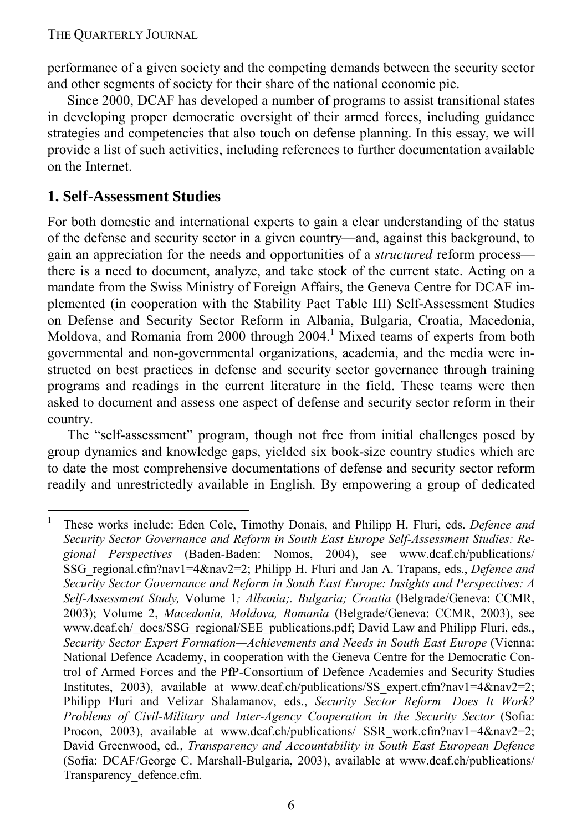performance of a given society and the competing demands between the security sector and other segments of society for their share of the national economic pie.

Since 2000, DCAF has developed a number of programs to assist transitional states in developing proper democratic oversight of their armed forces, including guidance strategies and competencies that also touch on defense planning. In this essay, we will provide a list of such activities, including references to further documentation available on the Internet.

## **1. Self-Assessment Studies**

-

For both domestic and international experts to gain a clear understanding of the status of the defense and security sector in a given country—and, against this background, to gain an appreciation for the needs and opportunities of a *structured* reform process there is a need to document, analyze, and take stock of the current state. Acting on a mandate from the Swiss Ministry of Foreign Affairs, the Geneva Centre for DCAF implemented (in cooperation with the Stability Pact Table III) Self-Assessment Studies on Defense and Security Sector Reform in Albania, Bulgaria, Croatia, Macedonia, Moldova, and Romania from 2000 through  $2004<sup>1</sup>$  Mixed teams of experts from both governmental and non-governmental organizations, academia, and the media were instructed on best practices in defense and security sector governance through training programs and readings in the current literature in the field. These teams were then asked to document and assess one aspect of defense and security sector reform in their country.

The "self-assessment" program, though not free from initial challenges posed by group dynamics and knowledge gaps, yielded six book-size country studies which are to date the most comprehensive documentations of defense and security sector reform readily and unrestrictedly available in English. By empowering a group of dedicated

<sup>1</sup> These works include: Eden Cole, Timothy Donais, and Philipp H. Fluri, eds. *Defence and Security Sector Governance and Reform in South East Europe Self-Assessment Studies: Regional Perspectives* (Baden-Baden: Nomos, 2004), see www.dcaf.ch/publications/ SSG\_regional.cfm?nav1=4&nav2=2; Philipp H. Fluri and Jan A. Trapans, eds., *Defence and Security Sector Governance and Reform in South East Europe: Insights and Perspectives: A Self-Assessment Study,* Volume 1*; Albania;. Bulgaria; Croatia* (Belgrade/Geneva: CCMR, 2003); Volume 2, *Macedonia, Moldova, Romania* (Belgrade/Geneva: CCMR, 2003), see www.dcaf.ch/\_docs/SSG\_regional/SEE\_publications.pdf; David Law and Philipp Fluri, eds., *Security Sector Expert Formation—Achievements and Needs in South East Europe* (Vienna: National Defence Academy, in cooperation with the Geneva Centre for the Democratic Control of Armed Forces and the PfP-Consortium of Defence Academies and Security Studies Institutes, 2003), available at www.dcaf.ch/publications/SS expert.cfm?nav1=4&nav2=2; Philipp Fluri and Velizar Shalamanov, eds., *Security Sector Reform—Does It Work? Problems of Civil-Military and Inter-Agency Cooperation in the Security Sector* (Sofia: Procon, 2003), available at www.dcaf.ch/publications/ SSR work.cfm?nav1=4&nav2=2; David Greenwood, ed., *Transparency and Accountability in South East European Defence* (Sofia: DCAF/George C. Marshall-Bulgaria, 2003), available at www.dcaf.ch/publications/ Transparency\_defence.cfm.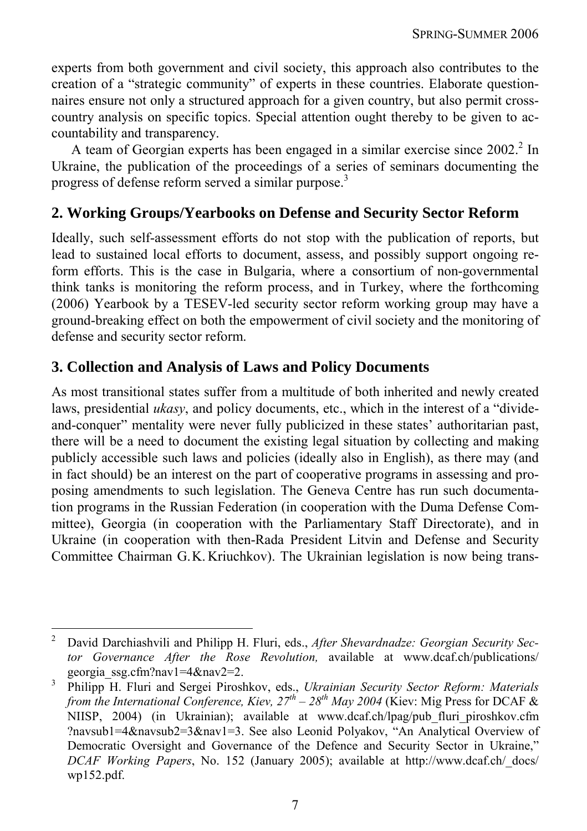experts from both government and civil society, this approach also contributes to the creation of a "strategic community" of experts in these countries. Elaborate questionnaires ensure not only a structured approach for a given country, but also permit crosscountry analysis on specific topics. Special attention ought thereby to be given to accountability and transparency.

A team of Georgian experts has been engaged in a similar exercise since  $2002$ .<sup>2</sup> In Ukraine, the publication of the proceedings of a series of seminars documenting the progress of defense reform served a similar purpose.<sup>3</sup>

## **2. Working Groups/Yearbooks on Defense and Security Sector Reform**

Ideally, such self-assessment efforts do not stop with the publication of reports, but lead to sustained local efforts to document, assess, and possibly support ongoing reform efforts. This is the case in Bulgaria, where a consortium of non-governmental think tanks is monitoring the reform process, and in Turkey, where the forthcoming (2006) Yearbook by a TESEV-led security sector reform working group may have a ground-breaking effect on both the empowerment of civil society and the monitoring of defense and security sector reform.

## **3. Collection and Analysis of Laws and Policy Documents**

 $\overline{a}$ 

As most transitional states suffer from a multitude of both inherited and newly created laws, presidential *ukasy*, and policy documents, etc., which in the interest of a "divideand-conquer" mentality were never fully publicized in these states' authoritarian past, there will be a need to document the existing legal situation by collecting and making publicly accessible such laws and policies (ideally also in English), as there may (and in fact should) be an interest on the part of cooperative programs in assessing and proposing amendments to such legislation. The Geneva Centre has run such documentation programs in the Russian Federation (in cooperation with the Duma Defense Committee), Georgia (in cooperation with the Parliamentary Staff Directorate), and in Ukraine (in cooperation with then-Rada President Litvin and Defense and Security Committee Chairman G.K. Kriuchkov). The Ukrainian legislation is now being trans-

<sup>2</sup> David Darchiashvili and Philipp H. Fluri, eds., *After Shevardnadze: Georgian Security Sector Governance After the Rose Revolution,* available at www.dcaf.ch/publications/ georgia\_ssg.cfm?nav1=4&nav2=2.<br>3. Dhilinn H. Eluri and Sergei Direct

Philipp H. Fluri and Sergei Piroshkov, eds., *Ukrainian Security Sector Reform: Materials from the International Conference, Kiev,*  $27<sup>th</sup> - 28<sup>th</sup>$  *May 2004 (Kiev: Mig Press for DCAF &* NIISP, 2004) (in Ukrainian); available at www.dcaf.ch/lpag/pub\_fluri\_piroshkov.cfm ?navsub1=4&navsub2=3&nav1=3. See also Leonid Polyakov, "An Analytical Overview of Democratic Oversight and Governance of the Defence and Security Sector in Ukraine," *DCAF Working Papers*, No. 152 (January 2005); available at http://www.dcaf.ch/\_docs/ wp152.pdf.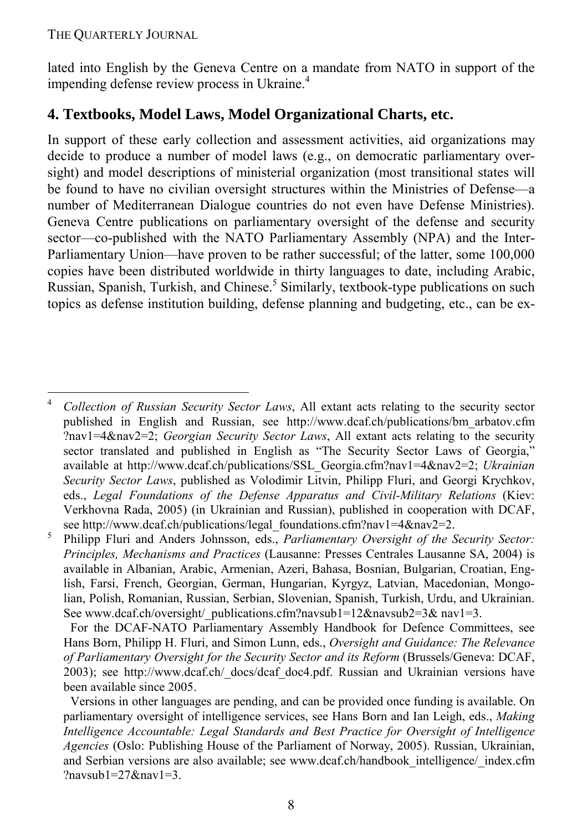$\overline{a}$ 

lated into English by the Geneva Centre on a mandate from NATO in support of the impending defense review process in Ukraine.<sup>4</sup>

## **4. Textbooks, Model Laws, Model Organizational Charts, etc.**

In support of these early collection and assessment activities, aid organizations may decide to produce a number of model laws (e.g., on democratic parliamentary oversight) and model descriptions of ministerial organization (most transitional states will be found to have no civilian oversight structures within the Ministries of Defense—a number of Mediterranean Dialogue countries do not even have Defense Ministries). Geneva Centre publications on parliamentary oversight of the defense and security sector—co-published with the NATO Parliamentary Assembly (NPA) and the Inter-Parliamentary Union—have proven to be rather successful; of the latter, some 100,000 copies have been distributed worldwide in thirty languages to date, including Arabic, Russian, Spanish, Turkish, and Chinese.<sup>5</sup> Similarly, textbook-type publications on such topics as defense institution building, defense planning and budgeting, etc., can be ex-

<sup>4</sup> *Collection of Russian Security Sector Laws*, All extant acts relating to the security sector published in English and Russian, see http://www.dcaf.ch/publications/bm\_arbatov.cfm ?nav1=4&nav2=2; *Georgian Security Sector Laws*, All extant acts relating to the security sector translated and published in English as "The Security Sector Laws of Georgia," available at http://www.dcaf.ch/publications/SSL\_Georgia.cfm?nav1=4&nav2=2; *Ukrainian Security Sector Laws*, published as Volodimir Litvin, Philipp Fluri, and Georgi Krychkov, eds., *Legal Foundations of the Defense Apparatus and Civil-Military Relations* (Kiev: Verkhovna Rada, 2005) (in Ukrainian and Russian), published in cooperation with DCAF, see http://www.dcaf.ch/publications/legal\_foundations.cfm?nav1=4&nav2=2.<br>5 Bbiling Fluri and Anders Johnsson, eds. *Barliamentary Oversight of the* S

Philipp Fluri and Anders Johnsson, eds., *Parliamentary Oversight of the Security Sector: Principles, Mechanisms and Practices* (Lausanne: Presses Centrales Lausanne SA, 2004) is available in Albanian, Arabic, Armenian, Azeri, Bahasa, Bosnian, Bulgarian, Croatian, English, Farsi, French, Georgian, German, Hungarian, Kyrgyz, Latvian, Macedonian, Mongolian, Polish, Romanian, Russian, Serbian, Slovenian, Spanish, Turkish, Urdu, and Ukrainian. See www.dcaf.ch/oversight/\_publications.cfm?navsub1=12&navsub2=3& nav1=3.

For the DCAF-NATO Parliamentary Assembly Handbook for Defence Committees, see Hans Born, Philipp H. Fluri, and Simon Lunn, eds., *Oversight and Guidance: The Relevance of Parliamentary Oversight for the Security Sector and its Reform* (Brussels/Geneva: DCAF, 2003); see http://www.dcaf.ch/\_docs/dcaf\_doc4.pdf. Russian and Ukrainian versions have been available since 2005.

Versions in other languages are pending, and can be provided once funding is available. On parliamentary oversight of intelligence services, see Hans Born and Ian Leigh, eds., *Making Intelligence Accountable: Legal Standards and Best Practice for Oversight of Intelligence Agencies* (Oslo: Publishing House of the Parliament of Norway, 2005). Russian, Ukrainian, and Serbian versions are also available; see www.dcaf.ch/handbook\_intelligence/\_index.cfm ?navsub $1=27$ &nav $1=3$ .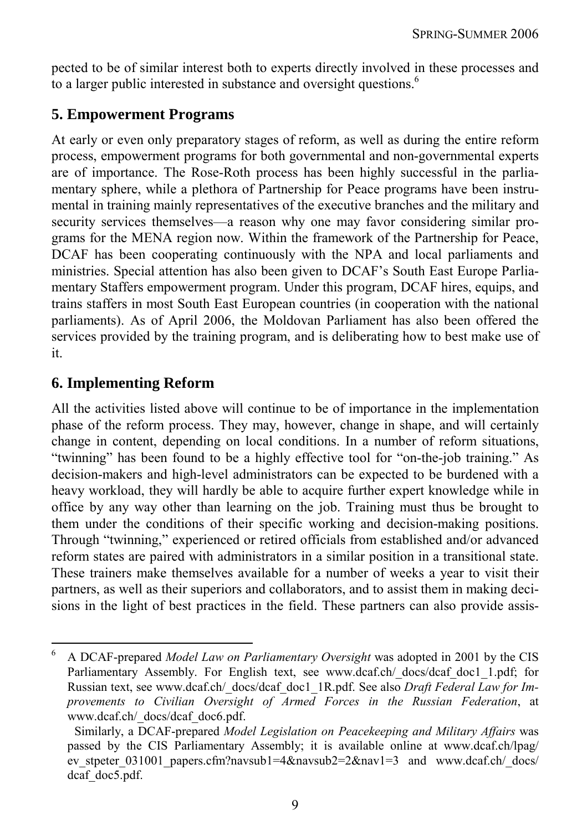pected to be of similar interest both to experts directly involved in these processes and to a larger public interested in substance and oversight questions.<sup>6</sup>

## **5. Empowerment Programs**

At early or even only preparatory stages of reform, as well as during the entire reform process, empowerment programs for both governmental and non-governmental experts are of importance. The Rose-Roth process has been highly successful in the parliamentary sphere, while a plethora of Partnership for Peace programs have been instrumental in training mainly representatives of the executive branches and the military and security services themselves—a reason why one may favor considering similar programs for the MENA region now. Within the framework of the Partnership for Peace, DCAF has been cooperating continuously with the NPA and local parliaments and ministries. Special attention has also been given to DCAF's South East Europe Parliamentary Staffers empowerment program. Under this program, DCAF hires, equips, and trains staffers in most South East European countries (in cooperation with the national parliaments). As of April 2006, the Moldovan Parliament has also been offered the services provided by the training program, and is deliberating how to best make use of it.

## **6. Implementing Reform**

 $\overline{a}$ 

All the activities listed above will continue to be of importance in the implementation phase of the reform process. They may, however, change in shape, and will certainly change in content, depending on local conditions. In a number of reform situations, "twinning" has been found to be a highly effective tool for "on-the-job training." As decision-makers and high-level administrators can be expected to be burdened with a heavy workload, they will hardly be able to acquire further expert knowledge while in office by any way other than learning on the job. Training must thus be brought to them under the conditions of their specific working and decision-making positions. Through "twinning," experienced or retired officials from established and/or advanced reform states are paired with administrators in a similar position in a transitional state. These trainers make themselves available for a number of weeks a year to visit their partners, as well as their superiors and collaborators, and to assist them in making decisions in the light of best practices in the field. These partners can also provide assis-

<sup>6</sup> A DCAF-prepared *Model Law on Parliamentary Oversight* was adopted in 2001 by the CIS Parliamentary Assembly. For English text, see www.dcaf.ch/\_docs/dcaf\_doc1\_1.pdf; for Russian text, see www.dcaf.ch/\_docs/dcaf\_doc1\_1R.pdf. See also *Draft Federal Law for Improvements to Civilian Oversight of Armed Forces in the Russian Federation*, at www.dcaf.ch/\_docs/dcaf\_doc6.pdf.

Similarly, a DCAF-prepared *Model Legislation on Peacekeeping and Military Affairs* was passed by the CIS Parliamentary Assembly; it is available online at www.dcaf.ch/lpag/ ev stpeter 031001 papers.cfm?navsub1=4&navsub2=2&nav1=3 and www.dcaf.ch/ docs/ dcaf doc5.pdf.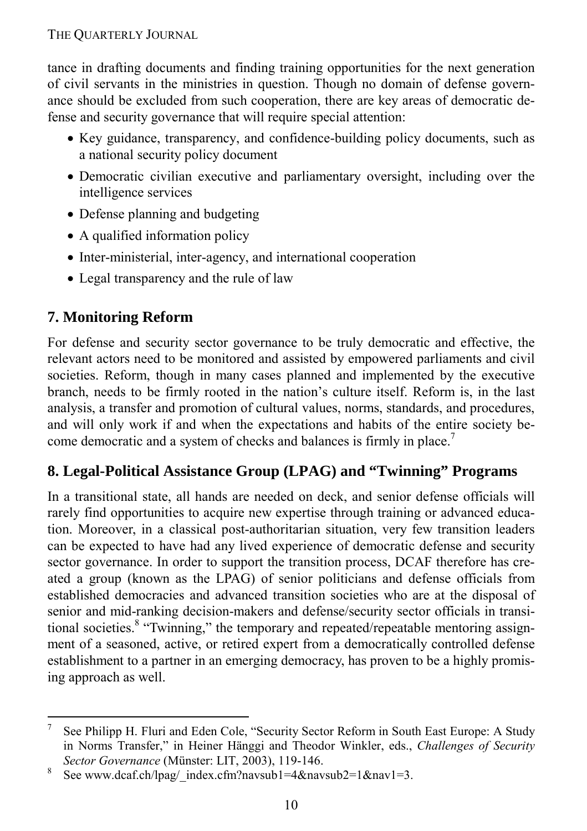tance in drafting documents and finding training opportunities for the next generation of civil servants in the ministries in question. Though no domain of defense governance should be excluded from such cooperation, there are key areas of democratic defense and security governance that will require special attention:

- Key guidance, transparency, and confidence-building policy documents, such as a national security policy document
- Democratic civilian executive and parliamentary oversight, including over the intelligence services
- Defense planning and budgeting
- A qualified information policy
- Inter-ministerial, inter-agency, and international cooperation
- Legal transparency and the rule of law

## **7. Monitoring Reform**

For defense and security sector governance to be truly democratic and effective, the relevant actors need to be monitored and assisted by empowered parliaments and civil societies. Reform, though in many cases planned and implemented by the executive branch, needs to be firmly rooted in the nation's culture itself. Reform is, in the last analysis, a transfer and promotion of cultural values, norms, standards, and procedures, and will only work if and when the expectations and habits of the entire society become democratic and a system of checks and balances is firmly in place.<sup>7</sup>

## **8. Legal-Political Assistance Group (LPAG) and "Twinning" Programs**

In a transitional state, all hands are needed on deck, and senior defense officials will rarely find opportunities to acquire new expertise through training or advanced education. Moreover, in a classical post-authoritarian situation, very few transition leaders can be expected to have had any lived experience of democratic defense and security sector governance. In order to support the transition process, DCAF therefore has created a group (known as the LPAG) of senior politicians and defense officials from established democracies and advanced transition societies who are at the disposal of senior and mid-ranking decision-makers and defense/security sector officials in transitional societies.<sup>8</sup> "Twinning," the temporary and repeated/repeatable mentoring assignment of a seasoned, active, or retired expert from a democratically controlled defense establishment to a partner in an emerging democracy, has proven to be a highly promising approach as well.

<sup>-&</sup>lt;br>7 See Philipp H. Fluri and Eden Cole, "Security Sector Reform in South East Europe: A Study in Norms Transfer," in Heiner Hänggi and Theodor Winkler, eds., *Challenges of Security Sector Governance* (Münster: LIT, 2003), 119-146.

See www.dcaf.ch/lpag/\_index.cfm?navsub1=4&navsub2=1&nav1=3.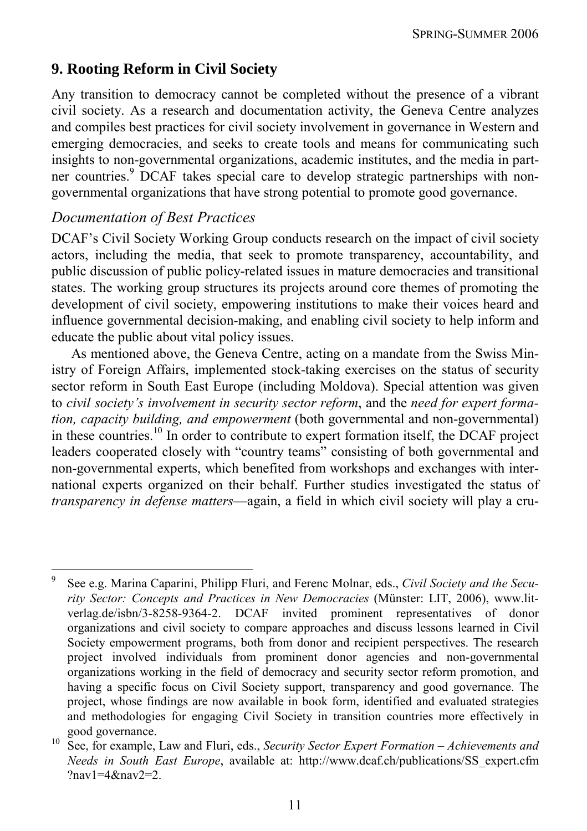## **9. Rooting Reform in Civil Society**

Any transition to democracy cannot be completed without the presence of a vibrant civil society. As a research and documentation activity, the Geneva Centre analyzes and compiles best practices for civil society involvement in governance in Western and emerging democracies, and seeks to create tools and means for communicating such insights to non-governmental organizations, academic institutes, and the media in partner countries.<sup>9</sup> DCAF takes special care to develop strategic partnerships with nongovernmental organizations that have strong potential to promote good governance.

#### *Documentation of Best Practices*

 $\overline{a}$ 

DCAF's Civil Society Working Group conducts research on the impact of civil society actors, including the media, that seek to promote transparency, accountability, and public discussion of public policy-related issues in mature democracies and transitional states. The working group structures its projects around core themes of promoting the development of civil society, empowering institutions to make their voices heard and influence governmental decision-making, and enabling civil society to help inform and educate the public about vital policy issues.

As mentioned above, the Geneva Centre, acting on a mandate from the Swiss Ministry of Foreign Affairs, implemented stock-taking exercises on the status of security sector reform in South East Europe (including Moldova). Special attention was given to *civil society's involvement in security sector reform*, and the *need for expert formation, capacity building, and empowerment* (both governmental and non-governmental) in these countries.<sup>10</sup> In order to contribute to expert formation itself, the DCAF project leaders cooperated closely with "country teams" consisting of both governmental and non-governmental experts, which benefited from workshops and exchanges with international experts organized on their behalf. Further studies investigated the status of *transparency in defense matters*—again, a field in which civil society will play a cru-

<sup>9</sup> See e.g. Marina Caparini, Philipp Fluri, and Ferenc Molnar, eds., *Civil Society and the Security Sector: Concepts and Practices in New Democracies* (Münster: LIT, 2006), www.litverlag.de/isbn/3-8258-9364-2. DCAF invited prominent representatives of donor organizations and civil society to compare approaches and discuss lessons learned in Civil Society empowerment programs, both from donor and recipient perspectives. The research project involved individuals from prominent donor agencies and non-governmental organizations working in the field of democracy and security sector reform promotion, and having a specific focus on Civil Society support, transparency and good governance. The project, whose findings are now available in book form, identified and evaluated strategies and methodologies for engaging Civil Society in transition countries more effectively in good governance. 10 See, for example, Law and Fluri, eds., *Security Sector Expert Formation – Achievements and* 

*Needs in South East Europe*, available at: http://www.dcaf.ch/publications/SS\_expert.cfm ?nav1=4&nav2=2.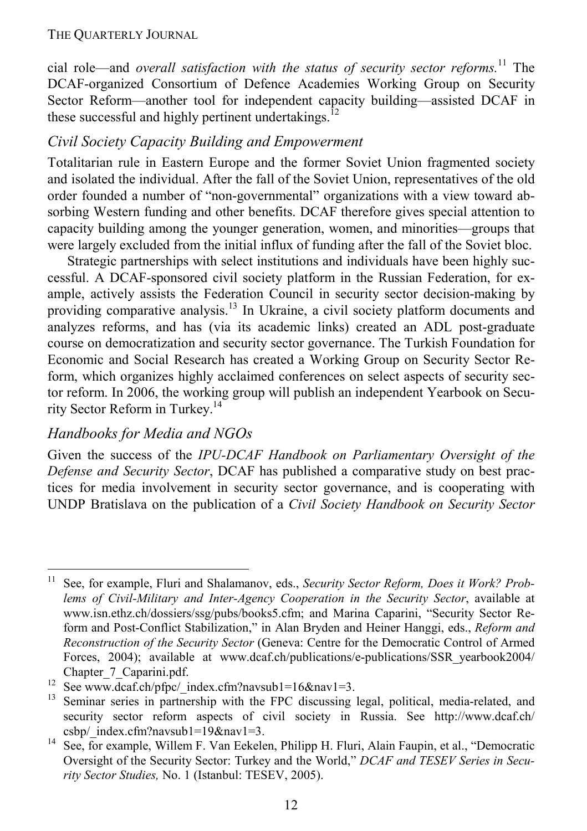cial role—and *overall satisfaction with the status of security sector reforms.*11 The DCAF-organized Consortium of Defence Academies Working Group on Security Sector Reform—another tool for independent capacity building—assisted DCAF in these successful and highly pertinent undertakings.<sup>12</sup>

### *Civil Society Capacity Building and Empowerment*

Totalitarian rule in Eastern Europe and the former Soviet Union fragmented society and isolated the individual. After the fall of the Soviet Union, representatives of the old order founded a number of "non-governmental" organizations with a view toward absorbing Western funding and other benefits. DCAF therefore gives special attention to capacity building among the younger generation, women, and minorities—groups that were largely excluded from the initial influx of funding after the fall of the Soviet bloc.

Strategic partnerships with select institutions and individuals have been highly successful. A DCAF-sponsored civil society platform in the Russian Federation, for example, actively assists the Federation Council in security sector decision-making by providing comparative analysis.<sup>13</sup> In Ukraine, a civil society platform documents and analyzes reforms, and has (via its academic links) created an ADL post-graduate course on democratization and security sector governance. The Turkish Foundation for Economic and Social Research has created a Working Group on Security Sector Reform, which organizes highly acclaimed conferences on select aspects of security sector reform. In 2006, the working group will publish an independent Yearbook on Security Sector Reform in Turkey.14

### *Handbooks for Media and NGOs*

Given the success of the *IPU-DCAF Handbook on Parliamentary Oversight of the Defense and Security Sector*, DCAF has published a comparative study on best practices for media involvement in security sector governance, and is cooperating with UNDP Bratislava on the publication of a *Civil Society Handbook on Security Sector* 

 $11$ See, for example, Fluri and Shalamanov, eds., *Security Sector Reform, Does it Work? Problems of Civil-Military and Inter-Agency Cooperation in the Security Sector*, available at www.isn.ethz.ch/dossiers/ssg/pubs/books5.cfm; and Marina Caparini, "Security Sector Reform and Post-Conflict Stabilization," in Alan Bryden and Heiner Hanggi, eds., *Reform and Reconstruction of the Security Sector* (Geneva: Centre for the Democratic Control of Armed Forces, 2004); available at www.dcaf.ch/publications/e-publications/SSR yearbook2004/

Chapter\_7\_Caparini.pdf.<br>
<sup>12</sup> See www.dcaf.ch/pfpc/\_index.cfm?navsub1=16&nav1=3.<br>
<sup>13</sup> Seminar series in partnership with the FPC discussing legal, political, media-related, and security sector reform aspects of civil society in Russia. See http://www.dcaf.ch/ csbp/\_index.cfm?navsub1=19&nav1=3. 14 See, for example, Willem F. Van Eekelen, Philipp H. Fluri, Alain Faupin, et al., "Democratic

Oversight of the Security Sector: Turkey and the World," *DCAF and TESEV Series in Security Sector Studies,* No. 1 (Istanbul: TESEV, 2005).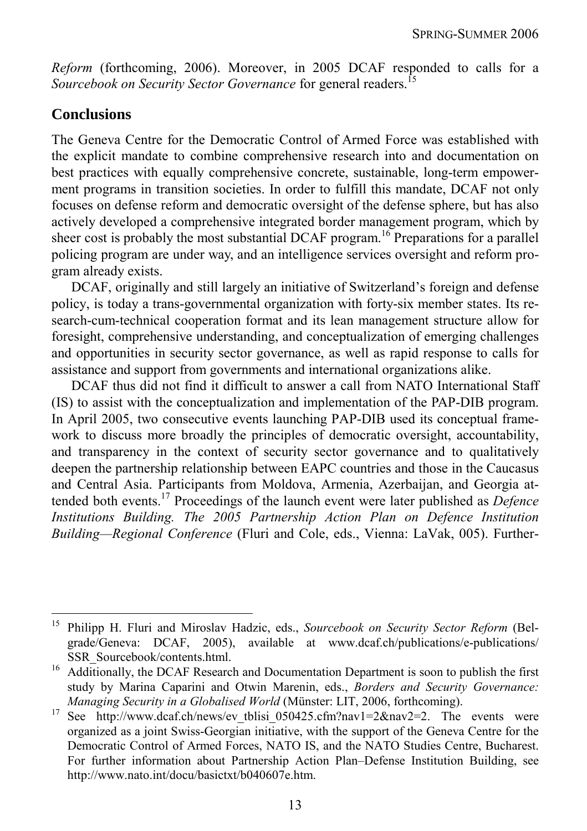*Reform* (forthcoming, 2006). Moreover, in 2005 DCAF responded to calls for a *Sourcebook on Security Sector Governance* for general readers.<sup>15</sup>

### **Conclusions**

 $\overline{a}$ 

The Geneva Centre for the Democratic Control of Armed Force was established with the explicit mandate to combine comprehensive research into and documentation on best practices with equally comprehensive concrete, sustainable, long-term empowerment programs in transition societies. In order to fulfill this mandate, DCAF not only focuses on defense reform and democratic oversight of the defense sphere, but has also actively developed a comprehensive integrated border management program, which by sheer cost is probably the most substantial DCAF program.<sup>16</sup> Preparations for a parallel policing program are under way, and an intelligence services oversight and reform program already exists.

DCAF, originally and still largely an initiative of Switzerland's foreign and defense policy, is today a trans-governmental organization with forty-six member states. Its research-cum-technical cooperation format and its lean management structure allow for foresight, comprehensive understanding, and conceptualization of emerging challenges and opportunities in security sector governance, as well as rapid response to calls for assistance and support from governments and international organizations alike.

DCAF thus did not find it difficult to answer a call from NATO International Staff (IS) to assist with the conceptualization and implementation of the PAP-DIB program. In April 2005, two consecutive events launching PAP-DIB used its conceptual framework to discuss more broadly the principles of democratic oversight, accountability, and transparency in the context of security sector governance and to qualitatively deepen the partnership relationship between EAPC countries and those in the Caucasus and Central Asia. Participants from Moldova, Armenia, Azerbaijan, and Georgia attended both events.17 Proceedings of the launch event were later published as *Defence Institutions Building. The 2005 Partnership Action Plan on Defence Institution Building—Regional Conference* (Fluri and Cole, eds., Vienna: LaVak, 005). Further-

<sup>15</sup> Philipp H. Fluri and Miroslav Hadzic, eds., *Sourcebook on Security Sector Reform* (Belgrade/Geneva: DCAF, 2005), available at www.dcaf.ch/publications/e-publications/

SSR\_Sourcebook/contents.html. 16 Additionally, the DCAF Research and Documentation Department is soon to publish the first study by Marina Caparini and Otwin Marenin, eds., *Borders and Security Governance:* 

*Managing Security in a Globalised World* (Münster: LIT, 2006, forthcoming).<br><sup>17</sup> See http://www.dcaf.ch/news/ev\_tblisi\_050425.cfm?nav1=2&nav2=2. The events were organized as a joint Swiss-Georgian initiative, with the support of the Geneva Centre for the Democratic Control of Armed Forces, NATO IS, and the NATO Studies Centre, Bucharest. For further information about Partnership Action Plan–Defense Institution Building, see http://www.nato.int/docu/basictxt/b040607e.htm.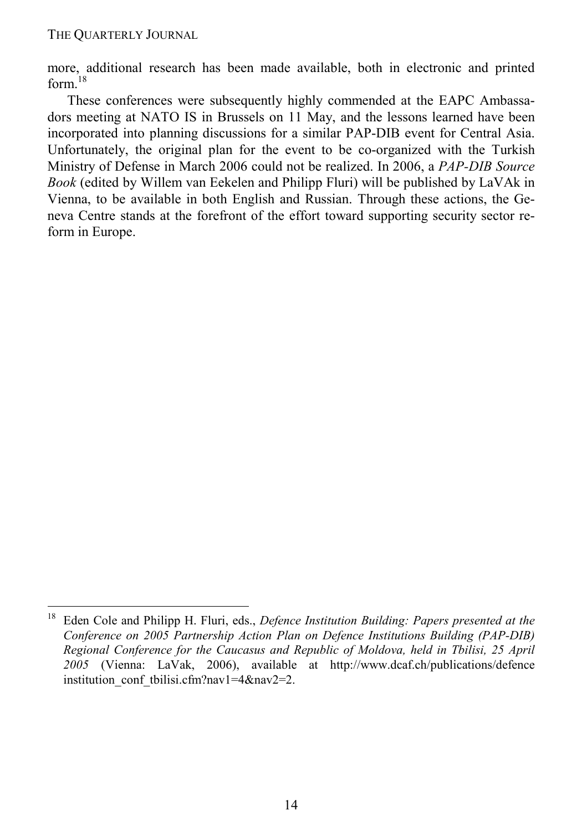-

more, additional research has been made available, both in electronic and printed form $18$ 

These conferences were subsequently highly commended at the EAPC Ambassadors meeting at NATO IS in Brussels on 11 May, and the lessons learned have been incorporated into planning discussions for a similar PAP-DIB event for Central Asia. Unfortunately, the original plan for the event to be co-organized with the Turkish Ministry of Defense in March 2006 could not be realized. In 2006, a *PAP-DIB Source Book* (edited by Willem van Eekelen and Philipp Fluri) will be published by LaVAk in Vienna, to be available in both English and Russian. Through these actions, the Geneva Centre stands at the forefront of the effort toward supporting security sector reform in Europe.

<sup>18</sup> Eden Cole and Philipp H. Fluri, eds., *Defence Institution Building: Papers presented at the Conference on 2005 Partnership Action Plan on Defence Institutions Building (PAP-DIB) Regional Conference for the Caucasus and Republic of Moldova, held in Tbilisi, 25 April 2005* (Vienna: LaVak, 2006), available at http://www.dcaf.ch/publications/defence institution\_conf\_tbilisi.cfm?nav1=4&nav2=2.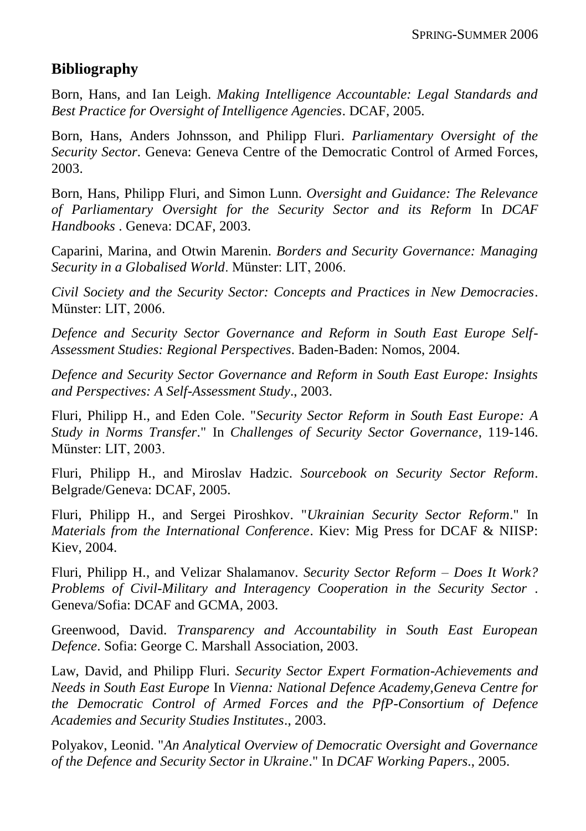## **Bibliography**

[Born, Hans,](http://connections-qj.org/biblio?f%5bauthor%5d=415) and [Ian Leigh.](http://connections-qj.org/biblio?f%5bauthor%5d=416) *[Making Intelligence Accountable: Legal Standards and](http://procon.bg/node/1954)  [Best Practice for Oversight of Intelligence Agencies](http://procon.bg/node/1954)*. DCAF, 2005.

[Born, Hans,](http://connections-qj.org/biblio?f%5bauthor%5d=415) [Anders Johnsson,](http://connections-qj.org/biblio?f%5bauthor%5d=2725) and [Philipp Fluri.](http://connections-qj.org/biblio?f%5bauthor%5d=610) *[Parliamentary Oversight of the](http://connections-qj.org/www.dcaf.ch/DCAF-Migration/KMS/Publications/Parliamentary-Oversight-of-the-Security-Sector)  [Security Sector](http://connections-qj.org/www.dcaf.ch/DCAF-Migration/KMS/Publications/Parliamentary-Oversight-of-the-Security-Sector)*. Geneva: Geneva Centre of the Democratic Control of Armed Forces, 2003.

[Born, Hans,](http://connections-qj.org/biblio?f%5bauthor%5d=415) [Philipp Fluri,](http://connections-qj.org/biblio?f%5bauthor%5d=610) and [Simon Lunn.](http://connections-qj.org/biblio?f%5bauthor%5d=611) *[Oversight and Guidance: The Relevance](http://procon.bg/node/2749)  [of Parliamentary Oversight for the Security Sector and its Reform](http://procon.bg/node/2749)* In *DCAF Handbooks* . Geneva: DCAF, 2003.

[Caparini, Marina,](http://connections-qj.org/biblio?f%5bauthor%5d=1528) and [Otwin Marenin.](http://connections-qj.org/biblio?f%5bauthor%5d=1529) *[Borders and Security Governance: Managing](http://procon.bg/node/1571)  [Security in a Globalised World](http://procon.bg/node/1571)*. Münster: LIT, 2006.

*[Civil Society and the Security Sector: Concepts and Practices in New Democracies](http://procon.bg/node/1577)*. Münster: LIT, 2006.

*[Defence and Security Sector Governance and Reform in South East Europe Self-](http://procon.bg/node/2262)[Assessment Studies: Regional Perspectives](http://procon.bg/node/2262)*. Baden-Baden: Nomos, 2004.

*[Defence and Security Sector Governance and Reform in South East Europe: Insights](http://procon.bg/node/2661)  [and Perspectives: A Self-Assessment Study](http://procon.bg/node/2661)*., 2003.

[Fluri, Philipp H.,](http://connections-qj.org/biblio?f%5bauthor%5d=1832) and [Eden Cole.](http://connections-qj.org/biblio?f%5bauthor%5d=1239) "*[Security Sector Reform in South East Europe: A](http://procon.bg/node/2781)  [Study in Norms Transfer](http://procon.bg/node/2781)*." In *Challenges of Security Sector Governance*, 119-146. Münster: LIT, 2003.

[Fluri, Philipp H.,](http://connections-qj.org/biblio?f%5bauthor%5d=1832) and [Miroslav Hadzic.](http://connections-qj.org/biblio?f%5bauthor%5d=1941) *[Sourcebook on Security Sector Reform](http://procon.bg/node/1992)*. Belgrade/Geneva: DCAF, 2005.

[Fluri, Philipp H.,](http://connections-qj.org/biblio?f%5bauthor%5d=1832) and [Sergei Piroshkov.](http://connections-qj.org/biblio?f%5bauthor%5d=2054) "*[Ukrainian Security Sector Reform](http://procon.bg/node/2115)*." In *Materials from the International Conference*. Kiev: Mig Press for DCAF & NIISP: Kiev, 2004.

[Fluri, Philipp H.,](http://connections-qj.org/biblio?f%5bauthor%5d=1832) and [Velizar Shalamanov.](http://connections-qj.org/biblio?f%5bauthor%5d=316) *[Security Sector Reform –](http://procon.bg/node/2782) Does It Work? [Problems of Civil-Military and Interagency Cooperation in the Security Sector](http://procon.bg/node/2782)* . Geneva/Sofia: DCAF and GCMA, 2003.

[Greenwood, David.](http://connections-qj.org/biblio?f%5bauthor%5d=2561) *[Transparency and Accountability in South East European](http://procon.bg/node/2807)  [Defence](http://procon.bg/node/2807)*. Sofia: George C. Marshall Association, 2003.

[Law, David,](http://connections-qj.org/biblio?f%5bauthor%5d=940) and [Philipp Fluri.](http://connections-qj.org/biblio?f%5bauthor%5d=610) *[Security Sector Expert Formation-Achievements and](http://procon.bg/node/2780)  [Needs in South East Europe](http://procon.bg/node/2780)* In *Vienna: National Defence Academy,Geneva Centre for the Democratic Control of Armed Forces and the PfP-Consortium of Defence Academies and Security Studies Institutes*., 2003.

[Polyakov, Leonid.](http://connections-qj.org/biblio?f%5bauthor%5d=570) "*[An Analytical Overview of Democratic Oversight and Governance](http://procon.bg/node/1734)  [of the Defence and Security Sector in Ukraine](http://procon.bg/node/1734)*." In *DCAF Working Papers*., 2005.